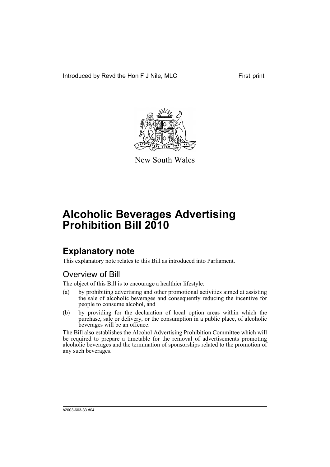Introduced by Revd the Hon F J Nile, MLC First print



New South Wales

# **Alcoholic Beverages Advertising Prohibition Bill 2010**

# **Explanatory note**

This explanatory note relates to this Bill as introduced into Parliament.

# Overview of Bill

The object of this Bill is to encourage a healthier lifestyle:

- (a) by prohibiting advertising and other promotional activities aimed at assisting the sale of alcoholic beverages and consequently reducing the incentive for people to consume alcohol, and
- (b) by providing for the declaration of local option areas within which the purchase, sale or delivery, or the consumption in a public place, of alcoholic beverages will be an offence.

The Bill also establishes the Alcohol Advertising Prohibition Committee which will be required to prepare a timetable for the removal of advertisements promoting alcoholic beverages and the termination of sponsorships related to the promotion of any such beverages.

b2003-603-33.d04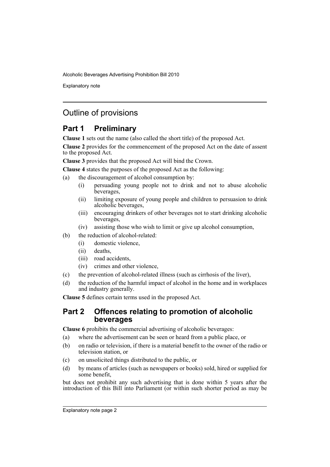Explanatory note

# Outline of provisions

# **Part 1 Preliminary**

**Clause 1** sets out the name (also called the short title) of the proposed Act.

**Clause 2** provides for the commencement of the proposed Act on the date of assent to the proposed Act.

**Clause 3** provides that the proposed Act will bind the Crown.

**Clause 4** states the purposes of the proposed Act as the following:

- (a) the discouragement of alcohol consumption by:
	- (i) persuading young people not to drink and not to abuse alcoholic beverages,
	- (ii) limiting exposure of young people and children to persuasion to drink alcoholic beverages,
	- (iii) encouraging drinkers of other beverages not to start drinking alcoholic beverages,
	- (iv) assisting those who wish to limit or give up alcohol consumption,
- (b) the reduction of alcohol-related:
	- (i) domestic violence,
	- (ii) deaths,
	- (iii) road accidents,
	- (iv) crimes and other violence,
- (c) the prevention of alcohol-related illness (such as cirrhosis of the liver),
- (d) the reduction of the harmful impact of alcohol in the home and in workplaces and industry generally.

**Clause 5** defines certain terms used in the proposed Act.

## **Part 2 Offences relating to promotion of alcoholic beverages**

**Clause 6** prohibits the commercial advertising of alcoholic beverages:

- (a) where the advertisement can be seen or heard from a public place, or
- (b) on radio or television, if there is a material benefit to the owner of the radio or television station, or
- (c) on unsolicited things distributed to the public, or
- (d) by means of articles (such as newspapers or books) sold, hired or supplied for some benefit,

but does not prohibit any such advertising that is done within 5 years after the introduction of this Bill into Parliament (or within such shorter period as may be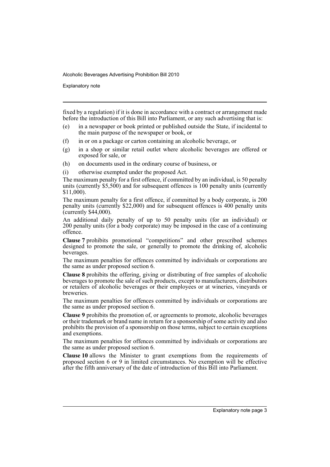Explanatory note

fixed by a regulation) if it is done in accordance with a contract or arrangement made before the introduction of this Bill into Parliament, or any such advertising that is:

- (e) in a newspaper or book printed or published outside the State, if incidental to the main purpose of the newspaper or book, or
- (f) in or on a package or carton containing an alcoholic beverage, or
- (g) in a shop or similar retail outlet where alcoholic beverages are offered or exposed for sale, or
- (h) on documents used in the ordinary course of business, or
- (i) otherwise exempted under the proposed Act.

The maximum penalty for a first offence, if committed by an individual, is 50 penalty units (currently  $$5,500$ ) and for subsequent offences is 100 penalty units (currently \$11,000).

The maximum penalty for a first offence, if committed by a body corporate, is 200 penalty units (currently \$22,000) and for subsequent offences is 400 penalty units (currently \$44,000).

An additional daily penalty of up to 50 penalty units (for an individual) or 200 penalty units (for a body corporate) may be imposed in the case of a continuing offence.

**Clause 7** prohibits promotional "competitions" and other prescribed schemes designed to promote the sale, or generally to promote the drinking of, alcoholic beverages.

The maximum penalties for offences committed by individuals or corporations are the same as under proposed section 6.

**Clause 8** prohibits the offering, giving or distributing of free samples of alcoholic beverages to promote the sale of such products, except to manufacturers, distributors or retailers of alcoholic beverages or their employees or at wineries, vineyards or breweries.

The maximum penalties for offences committed by individuals or corporations are the same as under proposed section 6.

**Clause 9** prohibits the promotion of, or agreements to promote, alcoholic beverages or their trademark or brand name in return for a sponsorship of some activity and also prohibits the provision of a sponsorship on those terms, subject to certain exceptions and exemptions.

The maximum penalties for offences committed by individuals or corporations are the same as under proposed section 6.

**Clause 10** allows the Minister to grant exemptions from the requirements of proposed section 6 or 9 in limited circumstances. No exemption will be effective after the fifth anniversary of the date of introduction of this Bill into Parliament.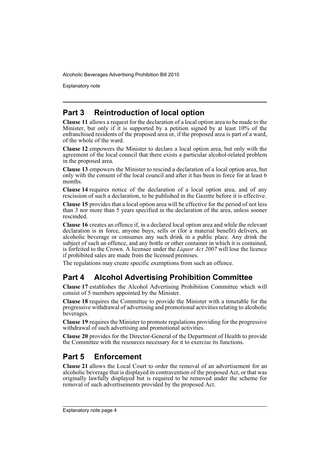Explanatory note

# **Part 3 Reintroduction of local option**

**Clause 11** allows a request for the declaration of a local option area to be made to the Minister, but only if it is supported by a petition signed by at least 10% of the enfranchised residents of the proposed area or, if the proposed area is part of a ward, of the whole of the ward.

**Clause 12** empowers the Minister to declare a local option area, but only with the agreement of the local council that there exists a particular alcohol-related problem in the proposed area.

**Clause 13** empowers the Minister to rescind a declaration of a local option area, but only with the consent of the local council and after it has been in force for at least 6 months.

**Clause 14** requires notice of the declaration of a local option area, and of any rescission of such a declaration, to be published in the Gazette before it is effective.

**Clause 15** provides that a local option area will be effective for the period of not less than 3 nor more than 5 years specified in the declaration of the area, unless sooner rescinded.

**Clause 16** creates an offence if, in a declared local option area and while the relevant declaration is in force, anyone buys, sells or (for a material benefit) delivers, an alcoholic beverage or consumes any such drink in a public place. Any drink the subject of such an offence, and any bottle or other container in which it is contained, is forfeited to the Crown. A licensee under the *Liquor Act 2007* will lose the licence if prohibited sales are made from the licensed premises.

The regulations may create specific exemptions from such an offence.

# **Part 4 Alcohol Advertising Prohibition Committee**

**Clause 17** establishes the Alcohol Advertising Prohibition Committee which will consist of 5 members appointed by the Minister.

**Clause 18** requires the Committee to provide the Minister with a timetable for the progressive withdrawal of advertising and promotional activities relating to alcoholic beverages.

**Clause 19** requires the Minister to promote regulations providing for the progressive withdrawal of such advertising and promotional activities.

**Clause 20** provides for the Director-General of the Department of Health to provide the Committee with the resources necessary for it to exercise its functions.

# **Part 5 Enforcement**

**Clause 21** allows the Local Court to order the removal of an advertisement for an alcoholic beverage that is displayed in contravention of the proposed Act, or that was originally lawfully displayed but is required to be removed under the scheme for removal of such advertisements provided by the proposed Act.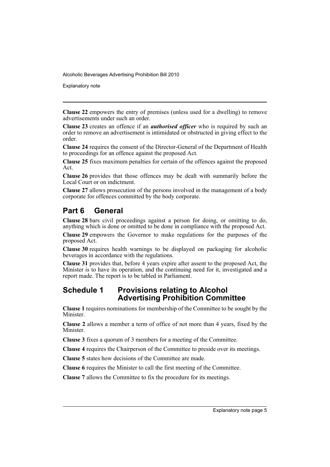Explanatory note

**Clause 22** empowers the entry of premises (unless used for a dwelling) to remove advertisements under such an order.

**Clause 23** creates an offence if an *authorised officer* who is required by such an order to remove an advertisement is intimidated or obstructed in giving effect to the order.

**Clause 24** requires the consent of the Director-General of the Department of Health to proceedings for an offence against the proposed Act.

**Clause 25** fixes maximum penalties for certain of the offences against the proposed Act.

**Clause 26** provides that those offences may be dealt with summarily before the Local Court or on indictment.

**Clause 27** allows prosecution of the persons involved in the management of a body corporate for offences committed by the body corporate.

# **Part 6 General**

**Clause 28** bars civil proceedings against a person for doing, or omitting to do, anything which is done or omitted to be done in compliance with the proposed Act.

**Clause 29** empowers the Governor to make regulations for the purposes of the proposed Act.

**Clause 30** requires health warnings to be displayed on packaging for alcoholic beverages in accordance with the regulations.

**Clause 31** provides that, before 4 years expire after assent to the proposed Act, the Minister is to have its operation, and the continuing need for it, investigated and a report made. The report is to be tabled in Parliament.

## **Schedule 1 Provisions relating to Alcohol Advertising Prohibition Committee**

**Clause 1** requires nominations for membership of the Committee to be sought by the **Minister** 

**Clause 2** allows a member a term of office of not more than 4 years, fixed by the Minister.

**Clause 3** fixes a quorum of 3 members for a meeting of the Committee.

**Clause 4** requires the Chairperson of the Committee to preside over its meetings.

**Clause 5** states how decisions of the Committee are made.

**Clause 6** requires the Minister to call the first meeting of the Committee.

**Clause 7** allows the Committee to fix the procedure for its meetings.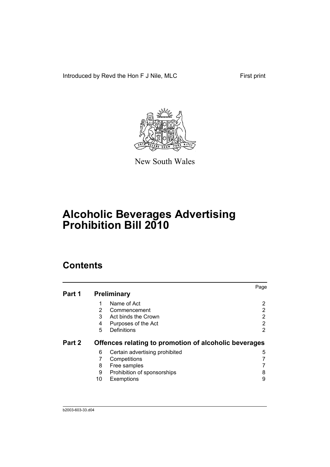Introduced by Revd the Hon F J Nile, MLC First print



New South Wales

# **Alcoholic Beverages Advertising Prohibition Bill 2010**

# **Contents**

|        |    |                                                       | Page |
|--------|----|-------------------------------------------------------|------|
| Part 1 |    | <b>Preliminary</b>                                    |      |
|        | 1  | Name of Act                                           | 2    |
|        | 2  | Commencement                                          | 2    |
|        | 3  | Act binds the Crown                                   | 2    |
|        | 4  | Purposes of the Act                                   | 2    |
|        | 5  | Definitions                                           | 2    |
| Part 2 |    | Offences relating to promotion of alcoholic beverages |      |
|        | 6  | Certain advertising prohibited                        | 5    |
|        | 7  | Competitions                                          |      |
|        | 8  | Free samples                                          |      |
|        | 9  | Prohibition of sponsorships                           | 8    |
|        | 10 | Exemptions                                            | 9    |
|        |    |                                                       |      |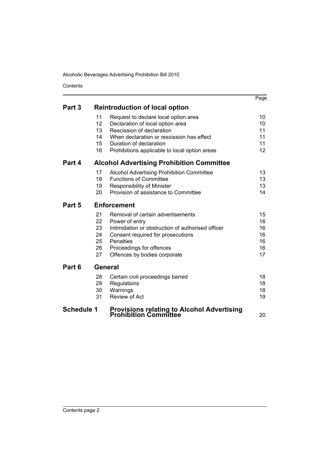Contents

|                   |         |                                                                             | Page |
|-------------------|---------|-----------------------------------------------------------------------------|------|
| Part 3            |         | <b>Reintroduction of local option</b>                                       |      |
|                   | 11      | Request to declare local option area                                        | 10   |
|                   | 12      | Declaration of local option area                                            | 10   |
|                   | 13      | Rescission of declaration                                                   | 11   |
|                   | 14      | When declaration or rescission has effect                                   | 11   |
|                   | 15      | Duration of declaration                                                     | 11   |
|                   | 16      | Prohibitions applicable to local option areas                               | 12   |
| Part 4            |         | <b>Alcohol Advertising Prohibition Committee</b>                            |      |
|                   | 17      | Alcohol Advertising Prohibition Committee                                   | 13   |
|                   | 18      | <b>Functions of Committee</b>                                               | 13   |
|                   | 19      | <b>Responsibility of Minister</b>                                           | 13   |
|                   | 20      | Provision of assistance to Committee                                        | 14   |
| Part 5            |         | <b>Enforcement</b>                                                          |      |
|                   | 21      | Removal of certain advertisements                                           | 15   |
|                   | 22      | Power of entry                                                              | 16   |
|                   | 23      | Intimidation or obstruction of authorised officer                           | 16   |
|                   | 24      | Consent required for prosecutions                                           | 16   |
|                   | 25      | <b>Penalties</b>                                                            | 16   |
|                   | 26      | Proceedings for offences                                                    | 16   |
|                   | 27      | Offences by bodies corporate                                                | 17   |
| Part 6            | General |                                                                             |      |
|                   | 28      | Certain civil proceedings barred                                            | 18   |
|                   | 29      | Regulations                                                                 | 18   |
|                   | 30      | Warnings                                                                    | 18   |
|                   | 31      | Review of Act                                                               | 19   |
| <b>Schedule 1</b> |         |                                                                             |      |
|                   |         | <b>Provisions relating to Alcohol Advertising<br/>Prohibition Committee</b> | 20   |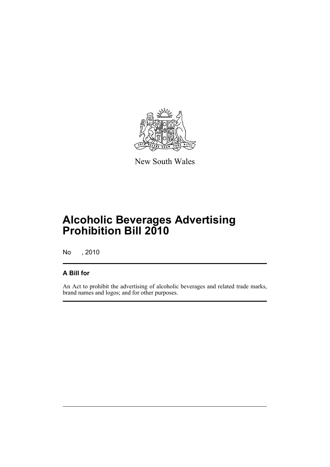

New South Wales

# **Alcoholic Beverages Advertising Prohibition Bill 2010**

No , 2010

## **A Bill for**

An Act to prohibit the advertising of alcoholic beverages and related trade marks, brand names and logos; and for other purposes.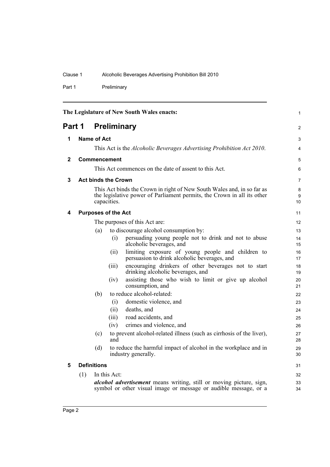Part 1 Preliminary

<span id="page-9-5"></span><span id="page-9-4"></span><span id="page-9-3"></span><span id="page-9-2"></span><span id="page-9-1"></span><span id="page-9-0"></span>

| The Legislature of New South Wales enacts: |     | $\mathbf{1}$       |                            |                                                                                                                                                   |              |
|--------------------------------------------|-----|--------------------|----------------------------|---------------------------------------------------------------------------------------------------------------------------------------------------|--------------|
| Part 1<br><b>Preliminary</b>               |     | $\overline{2}$     |                            |                                                                                                                                                   |              |
| 1                                          |     | Name of Act        |                            |                                                                                                                                                   | 3            |
|                                            |     |                    |                            | This Act is the <i>Alcoholic Beverages Advertising Prohibition Act 2010</i> .                                                                     | 4            |
| $\mathbf{2}$                               |     |                    | Commencement               |                                                                                                                                                   | 5            |
|                                            |     |                    |                            | This Act commences on the date of assent to this Act.                                                                                             | 6            |
| 3                                          |     |                    | <b>Act binds the Crown</b> |                                                                                                                                                   | 7            |
|                                            |     |                    | capacities.                | This Act binds the Crown in right of New South Wales and, in so far as<br>the legislative power of Parliament permits, the Crown in all its other | 8<br>9<br>10 |
| 4                                          |     |                    | <b>Purposes of the Act</b> |                                                                                                                                                   | 11           |
|                                            |     |                    |                            | The purposes of this Act are:                                                                                                                     | 12           |
|                                            |     | (a)                |                            | to discourage alcohol consumption by:                                                                                                             | 13           |
|                                            |     |                    | (i)                        | persuading young people not to drink and not to abuse<br>alcoholic beverages, and                                                                 | 14<br>15     |
|                                            |     |                    | (ii)                       | limiting exposure of young people and children to<br>persuasion to drink alcoholic beverages, and                                                 | 16<br>17     |
|                                            |     |                    | (iii)                      | encouraging drinkers of other beverages not to start<br>drinking alcoholic beverages, and                                                         | 18<br>19     |
|                                            |     |                    | (iv)                       | assisting those who wish to limit or give up alcohol<br>consumption, and                                                                          | 20<br>21     |
|                                            |     | (b)                |                            | to reduce alcohol-related:                                                                                                                        | 22           |
|                                            |     |                    | (i)                        | domestic violence, and                                                                                                                            | 23           |
|                                            |     |                    | (ii)                       | deaths, and                                                                                                                                       | 24           |
|                                            |     |                    | (iii)                      | road accidents, and                                                                                                                               | 25           |
|                                            |     |                    | (iv)                       | crimes and violence, and                                                                                                                          | 26           |
|                                            |     | (c)                | and                        | to prevent alcohol-related illness (such as cirrhosis of the liver),                                                                              | 27<br>28     |
|                                            |     | (d)                |                            | to reduce the harmful impact of alcohol in the workplace and in<br>industry generally.                                                            | 29<br>30     |
| 5                                          |     | <b>Definitions</b> |                            |                                                                                                                                                   | 31           |
|                                            | (1) |                    | In this Act:               |                                                                                                                                                   | 32           |
|                                            |     |                    |                            | <i>alcohol advertisement</i> means writing, still or moving picture, sign,<br>symbol or other visual image or message or audible message, or a    | 33<br>34     |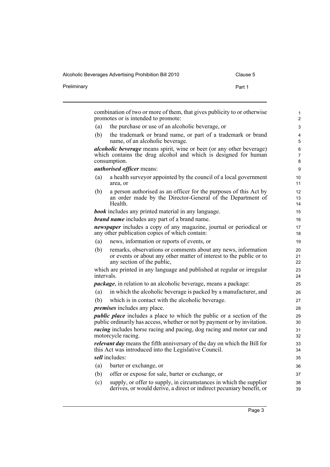Preliminary **Preliminary** Part 1

|            | promotes or is intended to promote:                                                                                                                                |
|------------|--------------------------------------------------------------------------------------------------------------------------------------------------------------------|
| (a)        | the purchase or use of an alcoholic beverage, or                                                                                                                   |
| (b)        | the trademark or brand name, or part of a trademark or brand<br>name, of an alcoholic beverage.                                                                    |
|            | alcoholic beverage means spirit, wine or beer (or any other beverage)<br>which contains the drug alcohol and which is designed for human<br>consumption.           |
|            | <i>authorised officer means:</i>                                                                                                                                   |
| (a)        | a health survey or appointed by the council of a local government<br>area, or                                                                                      |
| (b)        | a person authorised as an officer for the purposes of this Act by<br>an order made by the Director-General of the Department of<br>Health.                         |
|            | <b>book</b> includes any printed material in any language.                                                                                                         |
|            | <b>brand name</b> includes any part of a brand name.                                                                                                               |
|            | <i>newspaper</i> includes a copy of any magazine, journal or periodical or<br>any other publication copies of which contain:                                       |
| (a)        | news, information or reports of events, or                                                                                                                         |
| (b)        | remarks, observations or comments about any news, information<br>or events or about any other matter of interest to the public or to<br>any section of the public, |
| intervals. | which are printed in any language and published at regular or irregular                                                                                            |
|            | <i>package</i> , in relation to an alcoholic beverage, means a package:                                                                                            |
| (a)        | in which the alcoholic beverage is packed by a manufacturer, and                                                                                                   |
| (b)        | which is in contact with the alcoholic beverage.                                                                                                                   |
|            | <i>premises</i> includes any place.                                                                                                                                |
|            | <i>public place</i> includes a place to which the public or a section of the<br>public ordinarily has access, whether or not by payment or by invitation.          |
|            | <i>racing</i> includes horse racing and pacing, dog racing and motor car and<br>motorcycle racing.                                                                 |
|            | <i>relevant day</i> means the fifth anniversary of the day on which the Bill for<br>this Act was introduced into the Legislative Council.                          |
|            | sell includes:                                                                                                                                                     |
| (a)        | barter or exchange, or                                                                                                                                             |
| (b)        | offer or expose for sale, barter or exchange, or                                                                                                                   |
| (c)        | supply, or offer to supply, in circumstances in which the supplier                                                                                                 |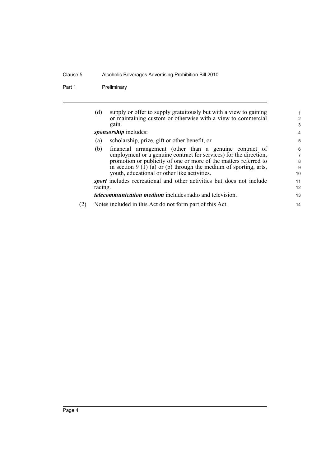Part 1 Preliminary

| supply or offer to supply gratuitously but with a view to gaining<br>(d)     | 1                                                                                                                       |
|------------------------------------------------------------------------------|-------------------------------------------------------------------------------------------------------------------------|
|                                                                              | 2                                                                                                                       |
| gain.                                                                        | 3                                                                                                                       |
| sponsorship includes:                                                        | 4                                                                                                                       |
| scholarship, prize, gift or other benefit, or<br>(a)                         | 5                                                                                                                       |
| (b)                                                                          | 6                                                                                                                       |
| employment or a genuine contract for services) for the direction,            | 7                                                                                                                       |
| promotion or publicity of one or more of the matters referred to             | 8                                                                                                                       |
| in section $9(1)(a)$ or (b) through the medium of sporting, arts,            | 9                                                                                                                       |
| youth, educational or other like activities.                                 | 10                                                                                                                      |
| <i>sport</i> includes recreational and other activities but does not include | 11                                                                                                                      |
| racing.                                                                      | 12                                                                                                                      |
| <i>telecommunication medium</i> includes radio and television.               | 13                                                                                                                      |
| Notes included in this Act do not form part of this Act.                     | 14                                                                                                                      |
|                                                                              | or maintaining custom or otherwise with a view to commercial<br>financial arrangement (other than a genuine contract of |

(2) Notes included in this Act do not form part of this Act.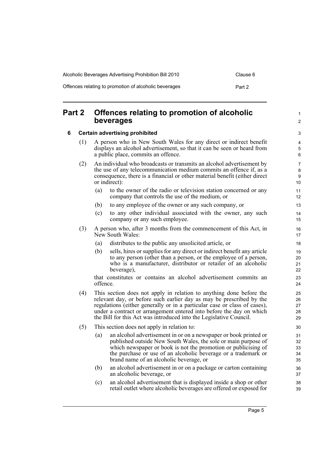| Alcoholic Beverages Advertising Prohibition Bill 2010 | Clause 6 |
|-------------------------------------------------------|----------|
| Offences relating to promotion of alcoholic beverages | Part 2   |

## <span id="page-12-0"></span>**Part 2 Offences relating to promotion of alcoholic beverages**

### <span id="page-12-1"></span>**6 Certain advertising prohibited**

- (1) A person who in New South Wales for any direct or indirect benefit displays an alcohol advertisement, so that it can be seen or heard from a public place, commits an offence.
- (2) An individual who broadcasts or transmits an alcohol advertisement by the use of any telecommunication medium commits an offence if, as a consequence, there is a financial or other material benefit (either direct or indirect):
	- (a) to the owner of the radio or television station concerned or any company that controls the use of the medium, or
	- (b) to any employee of the owner or any such company, or
	- (c) to any other individual associated with the owner, any such company or any such employee.
- (3) A person who, after 3 months from the commencement of this Act, in New South Wales:
	- (a) distributes to the public any unsolicited article, or
	- (b) sells, hires or supplies for any direct or indirect benefit any article to any person (other than a person, or the employee of a person, who is a manufacturer, distributor or retailer of an alcoholic beverage),

that constitutes or contains an alcohol advertisement commits an offence.

- (4) This section does not apply in relation to anything done before the relevant day, or before such earlier day as may be prescribed by the regulations (either generally or in a particular case or class of cases), under a contract or arrangement entered into before the day on which the Bill for this Act was introduced into the Legislative Council.
- (5) This section does not apply in relation to:
	- (a) an alcohol advertisement in or on a newspaper or book printed or published outside New South Wales, the sole or main purpose of which newspaper or book is not the promotion or publicising of the purchase or use of an alcoholic beverage or a trademark or brand name of an alcoholic beverage, or
	- (b) an alcohol advertisement in or on a package or carton containing an alcoholic beverage, or
	- (c) an alcohol advertisement that is displayed inside a shop or other retail outlet where alcoholic beverages are offered or exposed for

1  $\mathfrak{p}$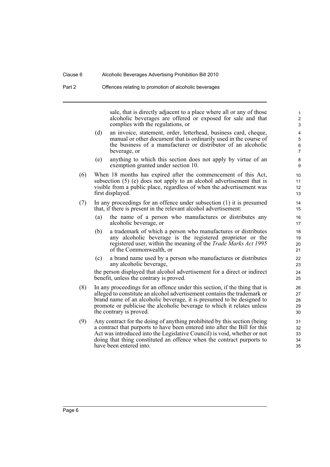sale, that is directly adjacent to a place where all or any of those alcoholic beverages are offered or exposed for sale and that complies with the regulations, or

- (d) an invoice, statement, order, letterhead, business card, cheque, manual or other document that is ordinarily used in the course of the business of a manufacturer or distributor of an alcoholic beverage, or
- (e) anything to which this section does not apply by virtue of an exemption granted under section 10.
- (6) When 18 months has expired after the commencement of this Act, subsection (5) (e) does not apply to an alcohol advertisement that is visible from a public place, regardless of when the advertisement was first displayed.
- (7) In any proceedings for an offence under subsection (1) it is presumed that, if there is present in the relevant alcohol advertisement:
	- (a) the name of a person who manufactures or distributes any alcoholic beverage, or
	- (b) a trademark of which a person who manufactures or distributes any alcoholic beverage is the registered proprietor or the registered user, within the meaning of the *Trade Marks Act 1995* of the Commonwealth, or
	- (c) a brand name used by a person who manufactures or distributes any alcoholic beverage,

the person displayed that alcohol advertisement for a direct or indirect benefit, unless the contrary is proved.

- (8) In any proceedings for an offence under this section, if the thing that is alleged to constitute an alcohol advertisement contains the trademark or brand name of an alcoholic beverage, it is presumed to be designed to promote or publicise the alcoholic beverage to which it relates unless the contrary is proved.
- (9) Any contract for the doing of anything prohibited by this section (being a contract that purports to have been entered into after the Bill for this Act was introduced into the Legislative Council) is void, whether or not doing that thing constituted an offence when the contract purports to have been entered into.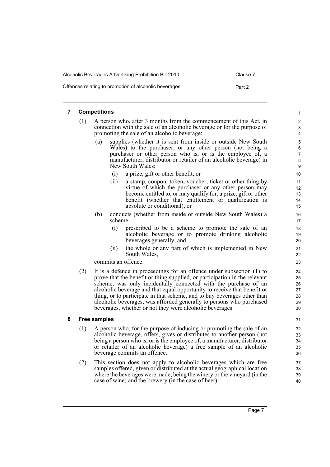| Alcoholic Beverages Advertising Prohibition Bill 2010 | Clause 7 |
|-------------------------------------------------------|----------|
| Offences relating to promotion of alcoholic beverages | Part 2   |

### <span id="page-14-0"></span>**7 Competitions**

- (1) A person who, after 3 months from the commencement of this Act, in connection with the sale of an alcoholic beverage or for the purpose of promoting the sale of an alcoholic beverage:
	- (a) supplies (whether it is sent from inside or outside New South Wales) to the purchaser, or any other person (not being a purchaser or other person who is, or is the employee of, a manufacturer, distributor or retailer of an alcoholic beverage) in New South Wales:
		- (i) a prize, gift or other benefit, or
		- (ii) a stamp, coupon, token, voucher, ticket or other thing by virtue of which the purchaser or any other person may become entitled to, or may qualify for, a prize, gift or other benefit (whether that entitlement or qualification is absolute or conditional), or
	- (b) conducts (whether from inside or outside New South Wales) a scheme:
		- (i) prescribed to be a scheme to promote the sale of an alcoholic beverage or to promote drinking alcoholic beverages generally, and
		- (ii) the whole or any part of which is implemented in New South Wales,

commits an offence.

(2) It is a defence in proceedings for an offence under subsection (1) to prove that the benefit or thing supplied, or participation in the relevant scheme, was only incidentally connected with the purchase of an alcoholic beverage and that equal opportunity to receive that benefit or thing, or to participate in that scheme, and to buy beverages other than alcoholic beverages, was afforded generally to persons who purchased beverages, whether or not they were alcoholic beverages.

### <span id="page-14-1"></span>**8 Free samples**

- (1) A person who, for the purpose of inducing or promoting the sale of an alcoholic beverage, offers, gives or distributes to another person (not being a person who is, or is the employee of, a manufacturer, distributor or retailer of an alcoholic beverage) a free sample of an alcoholic beverage commits an offence.
- (2) This section does not apply to alcoholic beverages which are free samples offered, given or distributed at the actual geographical location where the beverages were made, being the winery or the vineyard (in the case of wine) and the brewery (in the case of beer).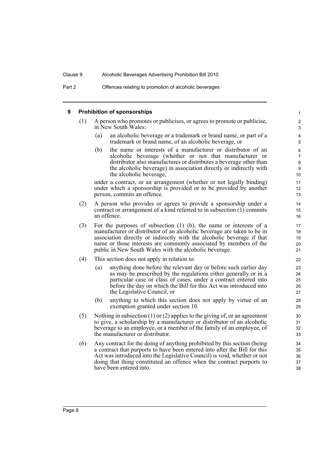#### <span id="page-15-0"></span>**9 Prohibition of sponsorships** (1) A person who promotes or publicises, or agrees to promote or publicise, in New South Wales: (a) an alcoholic beverage or a trademark or brand name, or part of a trademark or brand name, of an alcoholic beverage, or (b) the name or interests of a manufacturer or distributor of an alcoholic beverage (whether or not that manufacturer or distributor also manufactures or distributes a beverage other than the alcoholic beverage) in association directly or indirectly with the alcoholic beverage, under a contract, or an arrangement (whether or not legally binding) under which a sponsorship is provided or to be provided by another person, commits an offence. (2) A person who provides or agrees to provide a sponsorship under a contract or arrangement of a kind referred to in subsection (1) commits an offence. (3) For the purposes of subsection (1) (b), the name or interests of a manufacturer or distributor of an alcoholic beverage are taken to be in association directly or indirectly with the alcoholic beverage if that name or those interests are commonly associated by members of the public in New South Wales with the alcoholic beverage. (4) This section does not apply in relation to: (a) anything done before the relevant day or before such earlier day as may be prescribed by the regulations either generally or in a particular case or class of cases, under a contract entered into before the day on which the Bill for this Act was introduced into the Legislative Council, or (b) anything to which this section does not apply by virtue of an exemption granted under section 10. (5) Nothing in subsection (1) or (2) applies to the giving of, or an agreement to give, a scholarship by a manufacturer or distributor of an alcoholic beverage to an employee, or a member of the family of an employee, of the manufacturer or distributor. (6) Any contract for the doing of anything prohibited by this section (being a contract that purports to have been entered into after the Bill for this Act was introduced into the Legislative Council) is void, whether or not doing that thing constituted an offence when the contract purports to have been entered into. 1 2 3 4 5 6 7 8  $\overline{Q}$ 10 11 12 13 14 15 16 17 18 19 20 21 22 23 24 25 26 27 28 29 30 31 32 33 34 35 36 37 38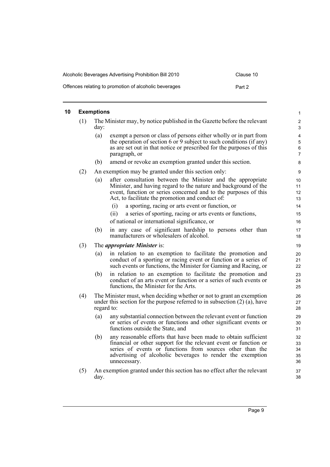| Alcoholic Beverages Advertising Prohibition Bill 2010 | Clause 10 |
|-------------------------------------------------------|-----------|
| Offences relating to promotion of alcoholic beverages | Part 2    |

### <span id="page-16-0"></span>**10 Exemptions**

|     | <b>Exemptions</b> |                                                                                                                                                                                                                                                                                | $\mathbf{1}$                                         |
|-----|-------------------|--------------------------------------------------------------------------------------------------------------------------------------------------------------------------------------------------------------------------------------------------------------------------------|------------------------------------------------------|
| (1) | day:              | The Minister may, by notice published in the Gazette before the relevant                                                                                                                                                                                                       | $\boldsymbol{2}$<br>3                                |
|     | (a)               | exempt a person or class of persons either wholly or in part from<br>the operation of section 6 or 9 subject to such conditions (if any)<br>as are set out in that notice or prescribed for the purposes of this<br>paragraph, or                                              | $\overline{4}$<br>$\mathbf 5$<br>6<br>$\overline{7}$ |
|     | (b)               | amend or revoke an exemption granted under this section.                                                                                                                                                                                                                       | 8                                                    |
| (2) |                   | An exemption may be granted under this section only:                                                                                                                                                                                                                           | 9                                                    |
|     | (a)               | after consultation between the Minister and the appropriate<br>Minister, and having regard to the nature and background of the<br>event, function or series concerned and to the purposes of this<br>Act, to facilitate the promotion and conduct of:                          | 10<br>11<br>12<br>13                                 |
|     |                   | a sporting, racing or arts event or function, or<br>(i)                                                                                                                                                                                                                        | 14                                                   |
|     |                   | (ii)<br>a series of sporting, racing or arts events or functions,                                                                                                                                                                                                              | 15                                                   |
|     |                   | of national or international significance, or                                                                                                                                                                                                                                  | 16                                                   |
|     | (b)               | in any case of significant hardship to persons other than<br>manufacturers or wholesalers of alcohol.                                                                                                                                                                          | 17<br>18                                             |
| (3) |                   | The <i>appropriate Minister</i> is:                                                                                                                                                                                                                                            | 19                                                   |
|     | (a)               | in relation to an exemption to facilitate the promotion and<br>conduct of a sporting or racing event or function or a series of<br>such events or functions, the Minister for Gaming and Racing, or                                                                            | 20<br>21<br>22                                       |
|     | (b)               | in relation to an exemption to facilitate the promotion and<br>conduct of an arts event or function or a series of such events or<br>functions, the Minister for the Arts.                                                                                                     | 23<br>24<br>25                                       |
| (4) |                   | The Minister must, when deciding whether or not to grant an exemption<br>under this section for the purpose referred to in subsection $(2)$ $(a)$ , have<br>regard to:                                                                                                         | 26<br>27<br>28                                       |
|     | (a)               | any substantial connection between the relevant event or function<br>or series of events or functions and other significant events or<br>functions outside the State, and                                                                                                      | 29<br>30<br>31                                       |
|     | (b)               | any reasonable efforts that have been made to obtain sufficient<br>financial or other support for the relevant event or function or<br>series of events or functions from sources other than the<br>advertising of alcoholic beverages to render the exemption<br>unnecessary. | 32<br>33<br>34<br>35<br>36                           |
| (5) | day.              | An exemption granted under this section has no effect after the relevant                                                                                                                                                                                                       | 37<br>38                                             |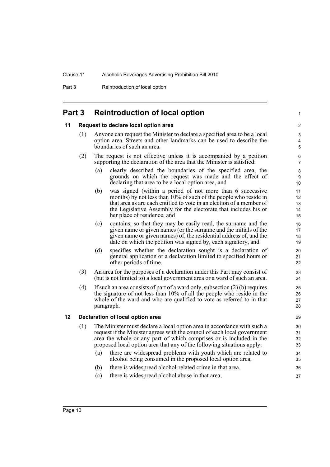Part 3 Reintroduction of local option

## <span id="page-17-0"></span>**Part 3 Reintroduction of local option**

### <span id="page-17-1"></span>**11 Request to declare local option area**

- (1) Anyone can request the Minister to declare a specified area to be a local option area. Streets and other landmarks can be used to describe the boundaries of such an area.
- (2) The request is not effective unless it is accompanied by a petition supporting the declaration of the area that the Minister is satisfied:
	- (a) clearly described the boundaries of the specified area, the grounds on which the request was made and the effect of declaring that area to be a local option area, and

1

- (b) was signed (within a period of not more than 6 successive months) by not less than 10% of such of the people who reside in that area as are each entitled to vote in an election of a member of the Legislative Assembly for the electorate that includes his or her place of residence, and
- (c) contains, so that they may be easily read, the surname and the given name or given names (or the surname and the initials of the given name or given names) of, the residential address of, and the date on which the petition was signed by, each signatory, and
- (d) specifies whether the declaration sought is a declaration of general application or a declaration limited to specified hours or other periods of time.
- (3) An area for the purposes of a declaration under this Part may consist of (but is not limited to) a local government area or a ward of such an area.
- (4) If such an area consists of part of a ward only, subsection (2) (b) requires the signature of not less than 10% of all the people who reside in the whole of the ward and who are qualified to vote as referred to in that paragraph.

### <span id="page-17-2"></span>**12 Declaration of local option area**

- (1) The Minister must declare a local option area in accordance with such a request if the Minister agrees with the council of each local government area the whole or any part of which comprises or is included in the proposed local option area that any of the following situations apply:
	- (a) there are widespread problems with youth which are related to alcohol being consumed in the proposed local option area,
	- (b) there is widespread alcohol-related crime in that area,
	- (c) there is widespread alcohol abuse in that area,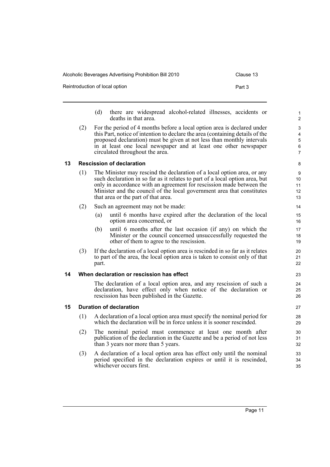| Alcoholic Beverages Advertising Prohibition Bill 2010 | Clause 13 |
|-------------------------------------------------------|-----------|
| Reintroduction of local option                        | Part 3    |

- (d) there are widespread alcohol-related illnesses, accidents or deaths in that area.
- (2) For the period of 4 months before a local option area is declared under this Part, notice of intention to declare the area (containing details of the proposed declaration) must be given at not less than monthly intervals in at least one local newspaper and at least one other newspaper circulated throughout the area.

### <span id="page-18-0"></span>**13 Rescission of declaration**

- (1) The Minister may rescind the declaration of a local option area, or any such declaration in so far as it relates to part of a local option area, but only in accordance with an agreement for rescission made between the Minister and the council of the local government area that constitutes that area or the part of that area.
- (2) Such an agreement may not be made:
	- (a) until 6 months have expired after the declaration of the local option area concerned, or
	- (b) until 6 months after the last occasion (if any) on which the Minister or the council concerned unsuccessfully requested the other of them to agree to the rescission.
- (3) If the declaration of a local option area is rescinded in so far as it relates to part of the area, the local option area is taken to consist only of that part.

### <span id="page-18-1"></span>**14 When declaration or rescission has effect**

The declaration of a local option area, and any rescission of such a declaration, have effect only when notice of the declaration or rescission has been published in the Gazette.

### <span id="page-18-2"></span>**15 Duration of declaration**

- (1) A declaration of a local option area must specify the nominal period for which the declaration will be in force unless it is sooner rescinded.
- (2) The nominal period must commence at least one month after publication of the declaration in the Gazette and be a period of not less than 3 years nor more than 5 years.
- (3) A declaration of a local option area has effect only until the nominal period specified in the declaration expires or until it is rescinded, whichever occurs first.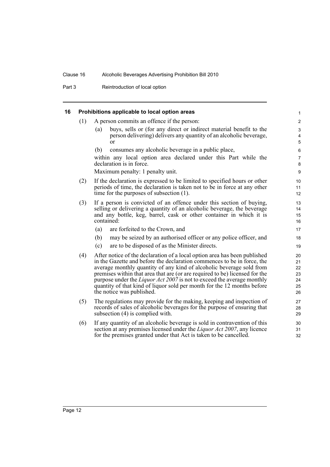Part 3 Reintroduction of local option

### <span id="page-19-0"></span>**16 Prohibitions applicable to local option areas**

- (1) A person commits an offence if the person:
	- (a) buys, sells or (for any direct or indirect material benefit to the person delivering) delivers any quantity of an alcoholic beverage, or

(b) consumes any alcoholic beverage in a public place,

within any local option area declared under this Part while the declaration is in force.

Maximum penalty: 1 penalty unit.

- (2) If the declaration is expressed to be limited to specified hours or other periods of time, the declaration is taken not to be in force at any other time for the purposes of subsection (1).
- (3) If a person is convicted of an offence under this section of buying, selling or delivering a quantity of an alcoholic beverage, the beverage and any bottle, keg, barrel, cask or other container in which it is contained:
	- (a) are forfeited to the Crown, and
	- (b) may be seized by an authorised officer or any police officer, and
	- (c) are to be disposed of as the Minister directs.
- (4) After notice of the declaration of a local option area has been published in the Gazette and before the declaration commences to be in force, the average monthly quantity of any kind of alcoholic beverage sold from premises within that area that are (or are required to be) licensed for the purpose under the *Liquor Act 2007* is not to exceed the average monthly quantity of that kind of liquor sold per month for the 12 months before the notice was published.
- (5) The regulations may provide for the making, keeping and inspection of records of sales of alcoholic beverages for the purpose of ensuring that subsection (4) is complied with.
- (6) If any quantity of an alcoholic beverage is sold in contravention of this section at any premises licensed under the *Liquor Act 2007*, any licence for the premises granted under that Act is taken to be cancelled.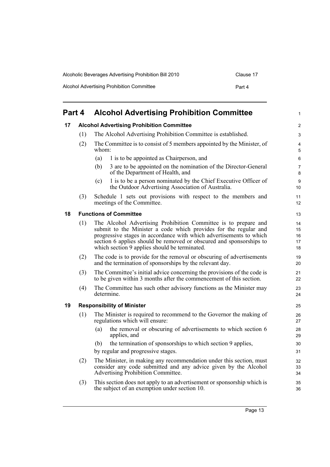| Alcoholic Beverages Advertising Prohibition Bill 2010 | Clause 17 |
|-------------------------------------------------------|-----------|
| Alcohol Advertising Prohibition Committee             | Part 4    |

# <span id="page-20-0"></span>**Part 4 Alcohol Advertising Prohibition Committee**

<span id="page-20-3"></span><span id="page-20-2"></span><span id="page-20-1"></span>

| 17 |     | <b>Alcohol Advertising Prohibition Committee</b>                                                                                                                                                                                                                                                                                   | $\overline{c}$            |  |
|----|-----|------------------------------------------------------------------------------------------------------------------------------------------------------------------------------------------------------------------------------------------------------------------------------------------------------------------------------------|---------------------------|--|
|    | (1) | The Alcohol Advertising Prohibition Committee is established.                                                                                                                                                                                                                                                                      |                           |  |
|    | (2) | The Committee is to consist of 5 members appointed by the Minister, of<br>whom:                                                                                                                                                                                                                                                    |                           |  |
|    |     | 1 is to be appointed as Chairperson, and<br>(a)                                                                                                                                                                                                                                                                                    | 6                         |  |
|    |     | 3 are to be appointed on the nomination of the Director-General<br>(b)<br>of the Department of Health, and                                                                                                                                                                                                                         | $\overline{7}$<br>$\bf 8$ |  |
|    |     | 1 is to be a person nominated by the Chief Executive Officer of<br>(c)<br>the Outdoor Advertising Association of Australia.                                                                                                                                                                                                        | 9<br>10 <sup>°</sup>      |  |
|    | (3) | Schedule 1 sets out provisions with respect to the members and<br>meetings of the Committee.                                                                                                                                                                                                                                       | 11<br>12 <sup>2</sup>     |  |
| 18 |     | <b>Functions of Committee</b>                                                                                                                                                                                                                                                                                                      | 13                        |  |
|    | (1) | The Alcohol Advertising Prohibition Committee is to prepare and<br>submit to the Minister a code which provides for the regular and<br>progressive stages in accordance with which advertisements to which<br>section 6 applies should be removed or obscured and sponsorships to<br>which section 9 applies should be terminated. |                           |  |
|    | (2) | The code is to provide for the removal or obscuring of advertisements<br>and the termination of sponsorships by the relevant day.                                                                                                                                                                                                  | 19<br>20                  |  |
|    | (3) | The Committee's initial advice concerning the provisions of the code is<br>to be given within 3 months after the commencement of this section.                                                                                                                                                                                     |                           |  |
|    | (4) | The Committee has such other advisory functions as the Minister may<br>determine.                                                                                                                                                                                                                                                  |                           |  |
| 19 |     | <b>Responsibility of Minister</b>                                                                                                                                                                                                                                                                                                  | 25                        |  |
|    | (1) | The Minister is required to recommend to the Governor the making of<br>regulations which will ensure:                                                                                                                                                                                                                              | 26<br>27                  |  |
|    |     | the removal or obscuring of advertisements to which section 6<br>(a)<br>applies, and                                                                                                                                                                                                                                               | 28<br>29                  |  |
|    |     | the termination of sponsorships to which section 9 applies,<br>(b)                                                                                                                                                                                                                                                                 | 30                        |  |
|    |     | by regular and progressive stages.                                                                                                                                                                                                                                                                                                 | 31                        |  |
|    | (2) | The Minister, in making any recommendation under this section, must<br>consider any code submitted and any advice given by the Alcohol<br>Advertising Prohibition Committee.                                                                                                                                                       |                           |  |
|    | (3) | This section does not apply to an advertisement or sponsorship which is<br>the subject of an exemption under section 10.                                                                                                                                                                                                           | 35<br>36                  |  |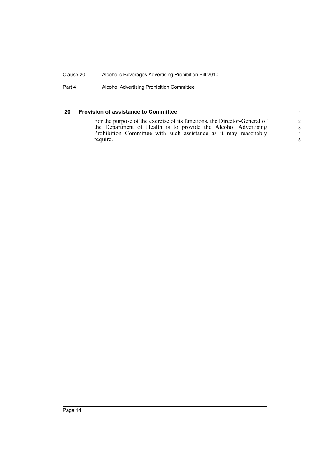Part 4 Alcohol Advertising Prohibition Committee

### <span id="page-21-0"></span>**20 Provision of assistance to Committee**

For the purpose of the exercise of its functions, the Director-General of the Department of Health is to provide the Alcohol Advertising Prohibition Committee with such assistance as it may reasonably require.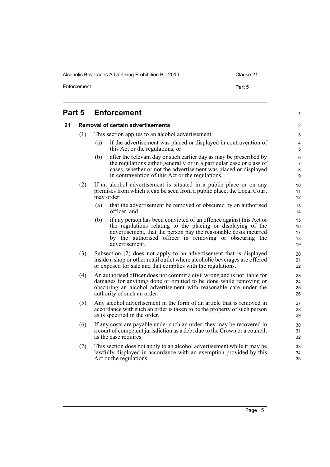Alcoholic Beverages Advertising Prohibition Bill 2010 Clause 21

Enforcement **Part 5** 

1

# <span id="page-22-1"></span><span id="page-22-0"></span>**Part 5 Enforcement 21 Removal of certain advertisements** (1) This section applies to an alcohol advertisement: (a) if the advertisement was placed or displayed in contravention of

this Act or the regulations, or

- (b) after the relevant day or such earlier day as may be prescribed by the regulations either generally or in a particular case or class of cases, whether or not the advertisement was placed or displayed in contravention of this Act or the regulations.
- (2) If an alcohol advertisement is situated in a public place or on any premises from which it can be seen from a public place, the Local Court may order:
	- (a) that the advertisement be removed or obscured by an authorised officer, and
	- (b) if any person has been convicted of an offence against this Act or the regulations relating to the placing or displaying of the advertisement, that the person pay the reasonable costs incurred by the authorised officer in removing or obscuring the advertisement.
- (3) Subsection (2) does not apply to an advertisement that is displayed inside a shop or other retail outlet where alcoholic beverages are offered or exposed for sale and that complies with the regulations.
- (4) An authorised officer does not commit a civil wrong and is not liable for damages for anything done or omitted to be done while removing or obscuring an alcohol advertisement with reasonable care under the authority of such an order.
- (5) Any alcohol advertisement in the form of an article that is removed in accordance with such an order is taken to be the property of such person as is specified in the order.
- (6) If any costs are payable under such an order, they may be recovered in a court of competent jurisdiction as a debt due to the Crown or a council, as the case requires.
- (7) This section does not apply to an alcohol advertisement while it may be lawfully displayed in accordance with an exemption provided by this Act or the regulations.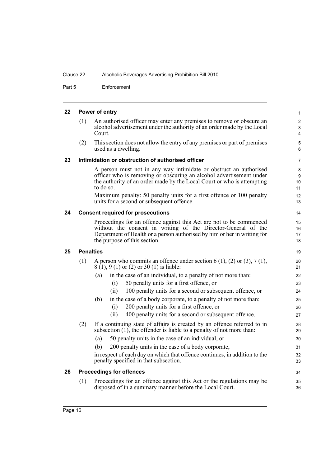Part 5 Enforcement

<span id="page-23-4"></span><span id="page-23-3"></span><span id="page-23-2"></span><span id="page-23-1"></span><span id="page-23-0"></span>

|                        |                                                                                                                                                                                                                                                                                                                                                      | $\mathbf{1}$                                                                                                                                                                                                                                                                                                                                                                                                                    |
|------------------------|------------------------------------------------------------------------------------------------------------------------------------------------------------------------------------------------------------------------------------------------------------------------------------------------------------------------------------------------------|---------------------------------------------------------------------------------------------------------------------------------------------------------------------------------------------------------------------------------------------------------------------------------------------------------------------------------------------------------------------------------------------------------------------------------|
| (1)                    | An authorised officer may enter any premises to remove or obscure an<br>alcohol advertisement under the authority of an order made by the Local<br>Court.                                                                                                                                                                                            | $\sqrt{2}$<br>3<br>$\overline{4}$                                                                                                                                                                                                                                                                                                                                                                                               |
| (2)                    | This section does not allow the entry of any premises or part of premises<br>used as a dwelling.                                                                                                                                                                                                                                                     | 5<br>6                                                                                                                                                                                                                                                                                                                                                                                                                          |
|                        |                                                                                                                                                                                                                                                                                                                                                      | 7                                                                                                                                                                                                                                                                                                                                                                                                                               |
|                        | A person must not in any way intimidate or obstruct an authorised<br>officer who is removing or obscuring an alcohol advertisement under<br>the authority of an order made by the Local Court or who is attempting<br>to do so.<br>Maximum penalty: 50 penalty units for a first offence or 100 penalty<br>units for a second or subsequent offence. | 8<br>9<br>10<br>11<br>12<br>13                                                                                                                                                                                                                                                                                                                                                                                                  |
|                        |                                                                                                                                                                                                                                                                                                                                                      | 14                                                                                                                                                                                                                                                                                                                                                                                                                              |
|                        | Proceedings for an offence against this Act are not to be commenced<br>without the consent in writing of the Director-General of the<br>Department of Health or a person authorised by him or her in writing for<br>the purpose of this section.                                                                                                     | 15<br>16<br>17<br>18                                                                                                                                                                                                                                                                                                                                                                                                            |
| 25<br><b>Penalties</b> |                                                                                                                                                                                                                                                                                                                                                      |                                                                                                                                                                                                                                                                                                                                                                                                                                 |
| (1)                    | A person who commits an offence under section 6 (1), (2) or (3), 7 (1),<br>8 (1), 9 (1) or (2) or 30 (1) is liable:                                                                                                                                                                                                                                  | 20<br>21                                                                                                                                                                                                                                                                                                                                                                                                                        |
|                        | in the case of an individual, to a penalty of not more than:<br>(a)<br>50 penalty units for a first offence, or<br>(i)                                                                                                                                                                                                                               | 22<br>23<br>24                                                                                                                                                                                                                                                                                                                                                                                                                  |
|                        | in the case of a body corporate, to a penalty of not more than:<br>(b)<br>200 penalty units for a first offence, or<br>(i)                                                                                                                                                                                                                           | 25<br>26<br>27                                                                                                                                                                                                                                                                                                                                                                                                                  |
| (2)                    | If a continuing state of affairs is created by an offence referred to in                                                                                                                                                                                                                                                                             | 28<br>29                                                                                                                                                                                                                                                                                                                                                                                                                        |
|                        |                                                                                                                                                                                                                                                                                                                                                      | 30                                                                                                                                                                                                                                                                                                                                                                                                                              |
|                        | 200 penalty units in the case of a body corporate,<br>(b)                                                                                                                                                                                                                                                                                            | 31                                                                                                                                                                                                                                                                                                                                                                                                                              |
|                        | in respect of each day on which that offence continues, in addition to the<br>penalty specified in that subsection.                                                                                                                                                                                                                                  | 32<br>33                                                                                                                                                                                                                                                                                                                                                                                                                        |
|                        |                                                                                                                                                                                                                                                                                                                                                      | 34                                                                                                                                                                                                                                                                                                                                                                                                                              |
| (1)                    | Proceedings for an offence against this Act or the regulations may be<br>disposed of in a summary manner before the Local Court.                                                                                                                                                                                                                     | 35<br>36                                                                                                                                                                                                                                                                                                                                                                                                                        |
|                        |                                                                                                                                                                                                                                                                                                                                                      | Power of entry<br>Intimidation or obstruction of authorised officer<br><b>Consent required for prosecutions</b><br>100 penalty units for a second or subsequent offence, or<br>(ii)<br>400 penalty units for a second or subsequent offence.<br>(ii)<br>subsection $(1)$ , the offender is liable to a penalty of not more than:<br>50 penalty units in the case of an individual, or<br>(a)<br><b>Proceedings for offences</b> |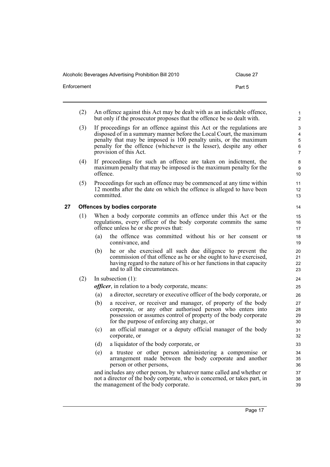Alcoholic Beverages Advertising Prohibition Bill 2010 Clause 2010

| Clause |  |
|--------|--|
|        |  |

| Enforcement | Part 5 |
|-------------|--------|
|             |        |

- (2) An offence against this Act may be dealt with as an indictable offence, but only if the prosecutor proposes that the offence be so dealt with.
- (3) If proceedings for an offence against this Act or the regulations are disposed of in a summary manner before the Local Court, the maximum penalty that may be imposed is 100 penalty units, or the maximum penalty for the offence (whichever is the lesser), despite any other provision of this Act.
- (4) If proceedings for such an offence are taken on indictment, the maximum penalty that may be imposed is the maximum penalty for the offence.
- (5) Proceedings for such an offence may be commenced at any time within 12 months after the date on which the offence is alleged to have been committed.

### <span id="page-24-0"></span>**27 Offences by bodies corporate**

- (1) When a body corporate commits an offence under this Act or the regulations, every officer of the body corporate commits the same offence unless he or she proves that:
	- (a) the offence was committed without his or her consent or connivance, and
	- (b) he or she exercised all such due diligence to prevent the commission of that offence as he or she ought to have exercised, having regard to the nature of his or her functions in that capacity and to all the circumstances.
- (2) In subsection (1):

*officer*, in relation to a body corporate, means:

- (a) a director, secretary or executive officer of the body corporate, or
- (b) a receiver, or receiver and manager, of property of the body corporate, or any other authorised person who enters into possession or assumes control of property of the body corporate for the purpose of enforcing any charge, or
- (c) an official manager or a deputy official manager of the body corporate, or
- (d) a liquidator of the body corporate, or
- (e) a trustee or other person administering a compromise or arrangement made between the body corporate and another person or other persons,

and includes any other person, by whatever name called and whether or not a director of the body corporate, who is concerned, or takes part, in the management of the body corporate.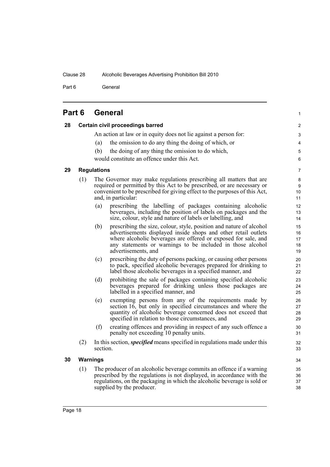Part 6 General

| Part 6 |  | <b>General</b> |  |
|--------|--|----------------|--|
|--------|--|----------------|--|

<span id="page-25-3"></span><span id="page-25-2"></span><span id="page-25-1"></span><span id="page-25-0"></span>

| 28 |     | Certain civil proceedings barred                                                                                                                                                                                                                                                                    | $\overline{2}$             |
|----|-----|-----------------------------------------------------------------------------------------------------------------------------------------------------------------------------------------------------------------------------------------------------------------------------------------------------|----------------------------|
|    |     | An action at law or in equity does not lie against a person for:                                                                                                                                                                                                                                    | 3                          |
|    |     | the omission to do any thing the doing of which, or<br>(a)                                                                                                                                                                                                                                          | 4                          |
|    |     | (b)<br>the doing of any thing the omission to do which,                                                                                                                                                                                                                                             | 5                          |
|    |     | would constitute an offence under this Act.                                                                                                                                                                                                                                                         | 6                          |
| 29 |     | <b>Regulations</b>                                                                                                                                                                                                                                                                                  | 7                          |
|    | (1) | The Governor may make regulations prescribing all matters that are<br>required or permitted by this Act to be prescribed, or are necessary or<br>convenient to be prescribed for giving effect to the purposes of this Act,<br>and, in particular:                                                  | 8<br>9<br>10<br>11         |
|    |     | prescribing the labelling of packages containing alcoholic<br>(a)<br>beverages, including the position of labels on packages and the<br>size, colour, style and nature of labels or labelling, and                                                                                                  | 12<br>13<br>14             |
|    |     | prescribing the size, colour, style, position and nature of alcohol<br>(b)<br>advertisements displayed inside shops and other retail outlets<br>where alcoholic beverages are offered or exposed for sale, and<br>any statements or warnings to be included in those alcohol<br>advertisements, and | 15<br>16<br>17<br>18<br>19 |
|    |     | prescribing the duty of persons packing, or causing other persons<br>(c)<br>to pack, specified alcoholic beverages prepared for drinking to<br>label those alcoholic beverages in a specified manner, and                                                                                           | 20<br>21<br>22             |
|    |     | prohibiting the sale of packages containing specified alcoholic<br>(d)<br>beverages prepared for drinking unless those packages are<br>labelled in a specified manner, and                                                                                                                          | 23<br>24<br>25             |
|    |     | exempting persons from any of the requirements made by<br>(e)<br>section 16, but only in specified circumstances and where the<br>quantity of alcoholic beverage concerned does not exceed that<br>specified in relation to those circumstances, and                                                | 26<br>27<br>28<br>29       |
|    |     | (f)<br>creating offences and providing in respect of any such offence a<br>penalty not exceeding 10 penalty units.                                                                                                                                                                                  | $30\,$<br>31               |
|    | (2) | In this section, <i>specified</i> means specified in regulations made under this<br>section.                                                                                                                                                                                                        | 32<br>33                   |
| 30 |     | <b>Warnings</b>                                                                                                                                                                                                                                                                                     | 34                         |
|    | (1) | The producer of an alcoholic beverage commits an offence if a warning<br>prescribed by the regulations is not displayed, in accordance with the<br>regulations, on the packaging in which the alcoholic beverage is sold or<br>supplied by the producer.                                            | 35<br>36<br>37<br>38       |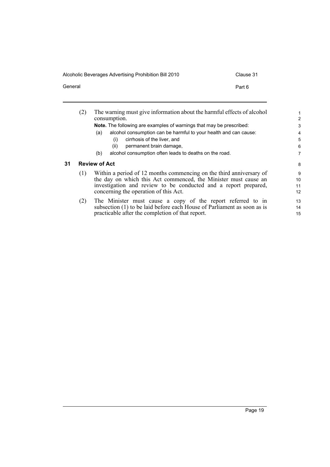Alcoholic Beverages Advertising Prohibition Bill 2010 Clause 31

<span id="page-26-0"></span>÷ ÷.

General **Part 6** 

|    | (2) | The warning must give information about the harmful effects of alcohol<br>consumption.                                                                                                                                                             | $\overline{c}$      |
|----|-----|----------------------------------------------------------------------------------------------------------------------------------------------------------------------------------------------------------------------------------------------------|---------------------|
|    |     | <b>Note.</b> The following are examples of warnings that may be prescribed:                                                                                                                                                                        | 3                   |
|    |     | alcohol consumption can be harmful to your health and can cause:<br>(a)                                                                                                                                                                            | 4                   |
|    |     | cirrhosis of the liver, and<br>(i)                                                                                                                                                                                                                 | 5                   |
|    |     | permanent brain damage.<br>(ii)                                                                                                                                                                                                                    | 6                   |
|    |     | alcohol consumption often leads to deaths on the road.<br>(b)                                                                                                                                                                                      | 7                   |
| 31 |     | <b>Review of Act</b>                                                                                                                                                                                                                               | 8                   |
|    | (1) | Within a period of 12 months commencing on the third anniversary of<br>the day on which this Act commenced, the Minister must cause an<br>investigation and review to be conducted and a report prepared,<br>concerning the operation of this Act. | 9<br>10<br>11<br>12 |
|    | (2) | The Minister must cause a copy of the report referred to in<br>subsection (1) to be laid before each House of Parliament as soon as is<br>practicable after the completion of that report.                                                         | 13<br>14<br>15      |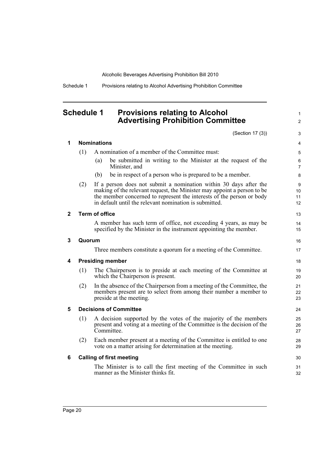Schedule 1 Provisions relating to Alcohol Advertising Prohibition Committee

## <span id="page-27-0"></span>**Schedule 1 Provisions relating to Alcohol Advertising Prohibition Committee**

(Section 17 (3))

|   |        |                                       | (Section 17 (3))                                                                                                                                                                                                                                                                | 3                   |  |  |  |
|---|--------|---------------------------------------|---------------------------------------------------------------------------------------------------------------------------------------------------------------------------------------------------------------------------------------------------------------------------------|---------------------|--|--|--|
| 1 |        | <b>Nominations</b><br>4               |                                                                                                                                                                                                                                                                                 |                     |  |  |  |
|   | (1)    |                                       | A nomination of a member of the Committee must:                                                                                                                                                                                                                                 | 5                   |  |  |  |
|   |        | (a)                                   | be submitted in writing to the Minister at the request of the<br>Minister, and                                                                                                                                                                                                  | 6<br>$\overline{7}$ |  |  |  |
|   |        | (b)                                   | be in respect of a person who is prepared to be a member.                                                                                                                                                                                                                       | 8                   |  |  |  |
|   | (2)    |                                       | If a person does not submit a nomination within 30 days after the<br>making of the relevant request, the Minister may appoint a person to be<br>the member concerned to represent the interests of the person or body<br>in default until the relevant nomination is submitted. | 9<br>10<br>11<br>12 |  |  |  |
| 2 |        | <b>Term of office</b>                 |                                                                                                                                                                                                                                                                                 | 13                  |  |  |  |
|   |        |                                       | A member has such term of office, not exceeding 4 years, as may be<br>specified by the Minister in the instrument appointing the member.                                                                                                                                        | 14<br>15            |  |  |  |
| 3 | Quorum |                                       |                                                                                                                                                                                                                                                                                 | 16                  |  |  |  |
|   |        |                                       | Three members constitute a quorum for a meeting of the Committee.                                                                                                                                                                                                               | 17                  |  |  |  |
| 4 |        | <b>Presiding member</b><br>18         |                                                                                                                                                                                                                                                                                 |                     |  |  |  |
|   | (1)    |                                       | The Chairperson is to preside at each meeting of the Committee at<br>which the Chairperson is present.                                                                                                                                                                          | 19<br>20            |  |  |  |
|   | (2)    |                                       | In the absence of the Chairperson from a meeting of the Committee, the<br>members present are to select from among their number a member to<br>preside at the meeting.                                                                                                          | 21<br>22<br>23      |  |  |  |
| 5 |        | <b>Decisions of Committee</b><br>24   |                                                                                                                                                                                                                                                                                 |                     |  |  |  |
|   | (1)    |                                       | A decision supported by the votes of the majority of the members<br>present and voting at a meeting of the Committee is the decision of the<br>Committee.                                                                                                                       | 25<br>26<br>27      |  |  |  |
|   | (2)    |                                       | Each member present at a meeting of the Committee is entitled to one<br>vote on a matter arising for determination at the meeting.                                                                                                                                              | 28<br>29            |  |  |  |
| 6 |        | <b>Calling of first meeting</b><br>30 |                                                                                                                                                                                                                                                                                 |                     |  |  |  |
|   |        |                                       | The Minister is to call the first meeting of the Committee in such<br>manner as the Minister thinks fit.                                                                                                                                                                        | 31<br>32            |  |  |  |
|   |        |                                       |                                                                                                                                                                                                                                                                                 |                     |  |  |  |